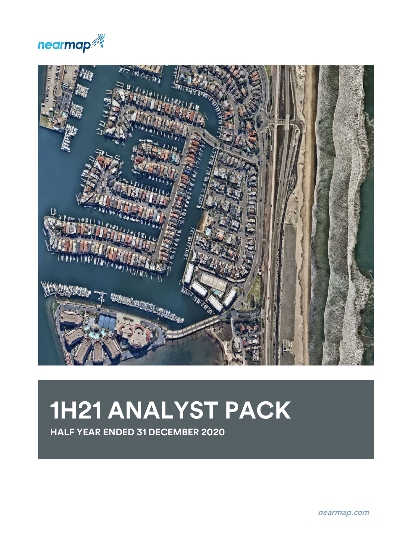



# **1H21 ANALYST PACK**

**HALF YEAR ENDED 31 DECEMBER 2020**

nearmap.com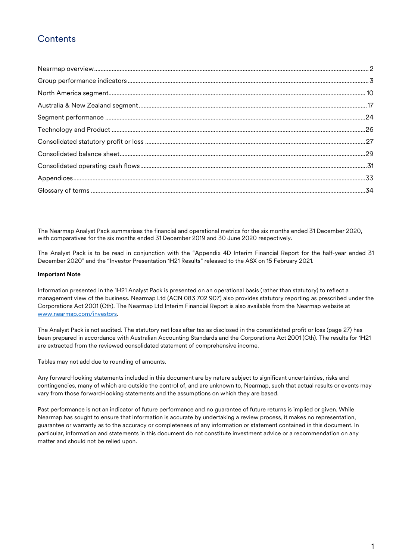## **Contents**

The Nearmap Analyst Pack summarises the financial and operational metrics for the six months ended 31 December 2020, with comparatives for the six months ended 31 December 2019 and 30 June 2020 respectively.

The Analyst Pack is to be read in conjunction with the "Appendix 4D Interim Financial Report for the half-year ended 31 December 2020" and the "Investor Presentation 1H21 Results" released to the ASX on 15 February 2021.

#### **Important Note**

Information presented in the 1H21 Analyst Pack is presented on an operational basis (rather than statutory) to reflect a management view of the business. Nearmap Ltd (ACN 083 702 907) also provides statutory reporting as prescribed under the Corporations Act 2001 (Cth). The Nearmap Ltd Interim Financial Report is also available from the Nearmap website at [www.nearmap.com/investors.](http://www.nearmap.com/investors)

The Analyst Pack is not audited. The statutory net loss after tax as disclosed in the consolidated profit or loss (page 27) has been prepared in accordance with Australian Accounting Standards and the Corporations Act 2001 (Cth). The results for 1H21 are extracted from the reviewed consolidated statement of comprehensive income.

Tables may not add due to rounding of amounts.

Any forward-looking statements included in this document are by nature subject to significant uncertainties, risks and contingencies, many of which are outside the control of, and are unknown to, Nearmap, such that actual results or events may vary from those forward-looking statements and the assumptions on which they are based.

Past performance is not an indicator of future performance and no guarantee of future returns is implied or given. While Nearmap has sought to ensure that information is accurate by undertaking a review process, it makes no representation, guarantee or warranty as to the accuracy or completeness of any information or statement contained in this document. In particular, information and statements in this document do not constitute investment advice or a recommendation on any matter and should not be relied upon.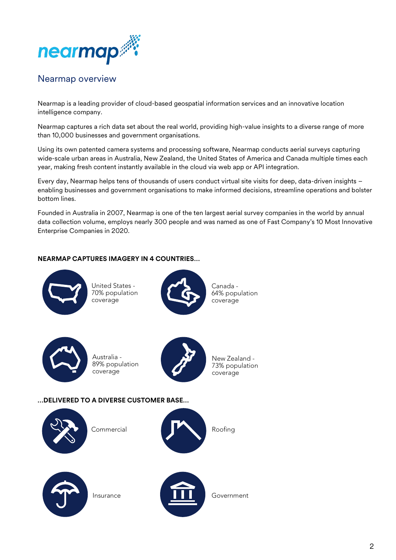

## <span id="page-2-0"></span>Nearmap overview

Nearmap is a leading provider of cloud-based geospatial information services and an innovative location intelligence company.

Nearmap captures a rich data set about the real world, providing high-value insights to a diverse range of more than 10,000 businesses and government organisations.

Using its own patented camera systems and processing software, Nearmap conducts aerial surveys capturing wide-scale urban areas in Australia, New Zealand, the United States of America and Canada multiple times each year, making fresh content instantly available in the cloud via web app or API integration.

Every day, Nearmap helps tens of thousands of users conduct virtual site visits for deep, data-driven insights – enabling businesses and government organisations to make informed decisions, streamline operations and bolster bottom lines.

Founded in Australia in 2007, Nearmap is one of the ten largest aerial survey companies in the world by annual data collection volume, employs nearly 300 people and was named as one of Fast Company's 10 Most Innovative Enterprise Companies in 2020.

#### **NEARMAP CAPTURES IMAGERY IN 4 COUNTRIES…**



United States - 70% population coverage



Canada - 64% population coverage



Australia - 89% population coverage



New Zealand - 73% population coverage

#### **…DELIVERED TO A DIVERSE CUSTOMER BASE…**





Government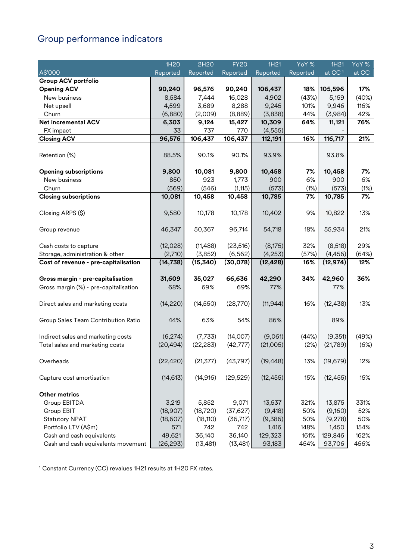# <span id="page-3-0"></span>Group performance indicators

|                                       | 1H20      | 2H20      | <b>FY20</b> | 1H21      | YoY %    | 1H21               | YoY % |
|---------------------------------------|-----------|-----------|-------------|-----------|----------|--------------------|-------|
| A\$'000                               | Reported  | Reported  | Reported    | Reported  | Reported | at CC <sup>1</sup> | at CC |
| <b>Group ACV portfolio</b>            |           |           |             |           |          |                    |       |
| <b>Opening ACV</b>                    | 90,240    | 96,576    | 90,240      | 106,437   | 18%      | 105,596            | 17%   |
| New business                          | 8,584     | 7,444     | 16,028      | 4,902     | (43%)    | 5,159              | (40%) |
| Net upsell                            | 4,599     | 3,689     | 8,288       | 9,245     | 101%     | 9,946              | 116%  |
| Churn                                 | (6,880)   | (2,009)   | (8,889)     | (3,838)   | 44%      | (3,984)            | 42%   |
| <b>Net incremental ACV</b>            | 6,303     | 9,124     | 15,427      | 10,309    | 64%      | 11,121             | 76%   |
| FX impact                             | 33        | 737       | 770         | (4, 555)  |          |                    |       |
| <b>Closing ACV</b>                    | 96,576    | 106,437   | 106,437     | 112,191   | 16%      | 116,717            | 21%   |
|                                       |           |           |             |           |          |                    |       |
| Retention (%)                         | 88.5%     | 90.1%     | 90.1%       | 93.9%     |          | 93.8%              |       |
| <b>Opening subscriptions</b>          | 9,800     | 10,081    | 9,800       | 10,458    | 7%       | 10,458             | 7%    |
| New business                          | 850       | 923       | 1,773       | 900       | 6%       | 900                | 6%    |
| Churn                                 | (569)     | (546)     | (1, 115)    | (573)     | (1%)     | (573)              | (1%)  |
| <b>Closing subscriptions</b>          | 10,081    | 10,458    | 10,458      | 10,785    | 7%       | 10,785             | 7%    |
|                                       |           |           |             |           |          |                    |       |
| Closing ARPS (\$)                     | 9,580     | 10,178    | 10,178      | 10,402    | 9%       | 10,822             | 13%   |
| Group revenue                         | 46,347    | 50,367    | 96,714      | 54,718    | 18%      | 55,934             | 21%   |
|                                       |           |           |             |           |          |                    |       |
| Cash costs to capture                 | (12,028)  | (11, 488) | (23, 516)   | (8,175)   | 32%      | (8,518)            | 29%   |
| Storage, administration & other       | (2,710)   | (3,852)   | (6, 562)    | (4,253)   | (57%)    | (4, 456)           | (64%) |
| Cost of revenue - pre-capitalisation  | (14, 738) | (15, 340) | (30,078)    | (12, 428) | 16%      | (12, 974)          | 12%   |
|                                       |           |           |             |           |          |                    |       |
| Gross margin - pre-capitalisation     | 31,609    | 35,027    | 66,636      | 42,290    | 34%      | 42,960             | 36%   |
| Gross margin (%) - pre-capitalisation | 68%       | 69%       | 69%         | 77%       |          | 77%                |       |
| Direct sales and marketing costs      | (14, 220) | (14, 550) | (28, 770)   | (11, 944) | 16%      | (12, 438)          | 13%   |
|                                       |           |           |             |           |          |                    |       |
| Group Sales Team Contribution Ratio   | 44%       | 63%       | 54%         | 86%       |          | 89%                |       |
|                                       |           |           |             |           |          |                    |       |
| Indirect sales and marketing costs    | (6,274)   | (7, 733)  | (14,007)    | (9,061)   | (44%)    | (9,351)            | (49%) |
| Total sales and marketing costs       | (20, 494) | (22, 283) | (42, 777)   | (21,005)  | (2%)     | (21, 789)          | (6%)  |
|                                       |           |           |             |           |          |                    |       |
| Overheads                             | (22, 420) | (21, 377) | (43, 797)   | (19, 448) | 13%      | (19, 679)          | 12%   |
|                                       |           |           |             |           |          |                    |       |
| Capture cost amortisation             | (14, 613) | (14, 916) | (29, 529)   | (12, 455) | 15%      | (12, 455)          | 15%   |
| <b>Other metrics</b>                  |           |           |             |           |          |                    |       |
| Group EBITDA                          | 3,219     | 5,852     | 9,071       | 13,537    | 321%     | 13,875             | 331%  |
| Group EBIT                            | (18, 907) | (18, 720) | (37, 627)   | (9, 418)  | 50%      | (9,160)            | 52%   |
| <b>Statutory NPAT</b>                 | (18,607)  | (18, 110) | (36, 717)   | (9,386)   | 50%      | (9,278)            | 50%   |
| Portfolio LTV (A\$m)                  | 571       | 742       | 742         | 1,416     | 148%     | 1,450              | 154%  |
| Cash and cash equivalents             | 49,621    | 36,140    | 36,140      | 129,323   | 161%     | 129,846            | 162%  |
| Cash and cash equivalents movement    | (26, 293) | (13, 481) | (13, 481)   | 93,183    | 454%     | 93,706             | 456%  |

<sup>1</sup> Constant Currency (CC) revalues 1H21 results at 1H20 FX rates.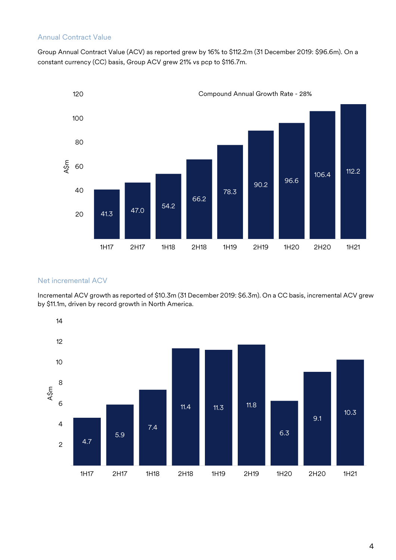#### Annual Contract Value

Group Annual Contract Value (ACV) as reported grew by 16% to \$112.2m (31 December 2019: \$96.6m). On a constant currency (CC) basis, Group ACV grew 21% vs pcp to \$116.7m.



#### Net incremental ACV

Incremental ACV growth as reported of \$10.3m (31 December 2019: \$6.3m). On a CC basis, incremental ACV grew by \$11.1m, driven by record growth in North America.

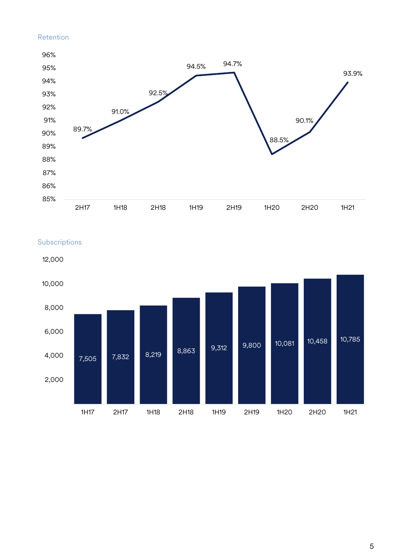#### Retention





Subscriptions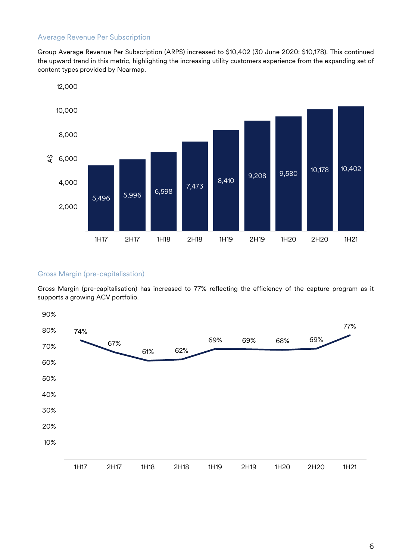#### Average Revenue Per Subscription

Group Average Revenue Per Subscription (ARPS) increased to \$10,402 (30 June 2020: \$10,178). This continued the upward trend in this metric, highlighting the increasing utility customers experience from the expanding set of content types provided by Nearmap.



#### Gross Margin (pre-capitalisation)

Gross Margin (pre-capitalisation) has increased to 77% reflecting the efficiency of the capture program as it supports a growing ACV portfolio.

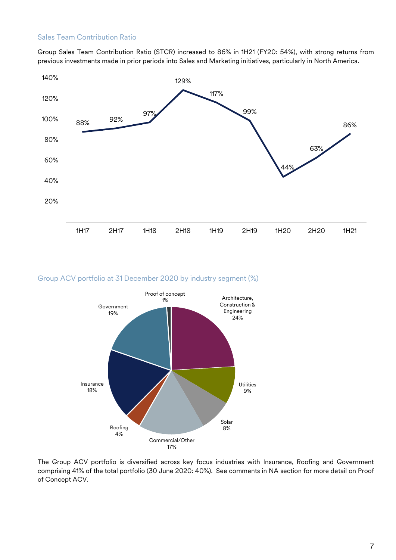#### Sales Team Contribution Ratio

Group Sales Team Contribution Ratio (STCR) increased to 86% in 1H21 (FY20: 54%), with strong returns from previous investments made in prior periods into Sales and Marketing initiatives, particularly in North America.



#### Group ACV portfolio at 31 December 2020 by industry segment (%)



The Group ACV portfolio is diversified across key focus industries with Insurance, Roofing and Government comprising 41% of the total portfolio (30 June 2020: 40%). See comments in NA section for more detail on Proof of Concept ACV.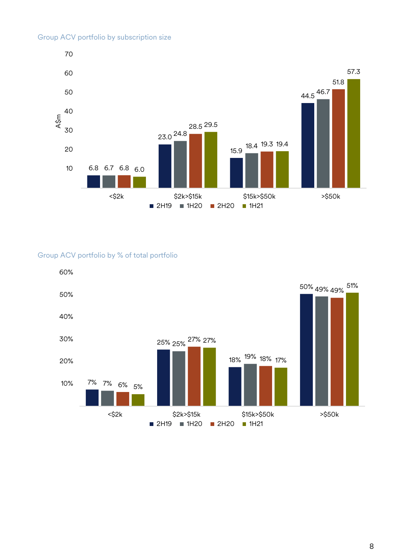#### Group ACV portfolio by subscription size



#### Group ACV portfolio by % of total portfolio

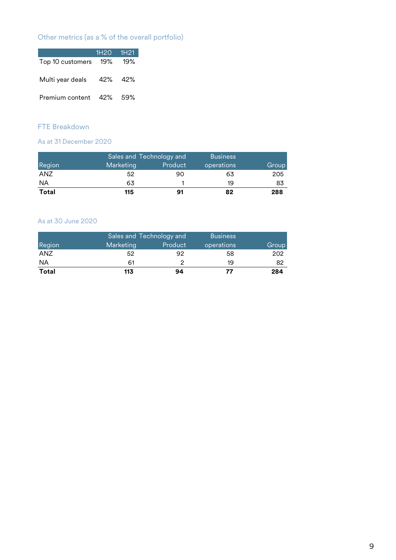## Other metrics (as a % of the overall portfolio)

|                         | $1H20$ $H21$ |         |
|-------------------------|--------------|---------|
| Top 10 customers        |              | 19% 19% |
| Multi year deals        |              | 42% 42% |
| Premium content 42% 59% |              |         |

## FTE Breakdown

#### As at 31 December 2020

|              |           | Sales and Technology and | <b>Business</b> |       |
|--------------|-----------|--------------------------|-----------------|-------|
| Region       | Marketing | Product                  | operations      | Group |
| ANZ          | 52        | 90                       | 63              | 205   |
| <b>NA</b>    | 63        |                          | 19              | 83    |
| <b>Total</b> | 115       | 91                       | 82              | 288   |

#### As at 30 June 2020

| Region       | Marketing | Sales and Technology and<br>Product | <b>Business</b><br>operations | Group |
|--------------|-----------|-------------------------------------|-------------------------------|-------|
| ANZ          | 52        | 92                                  | 58                            | 202   |
| <b>NA</b>    | 61        |                                     | 19                            | 82    |
| <b>Total</b> | 113       | 94                                  | 77                            | 284   |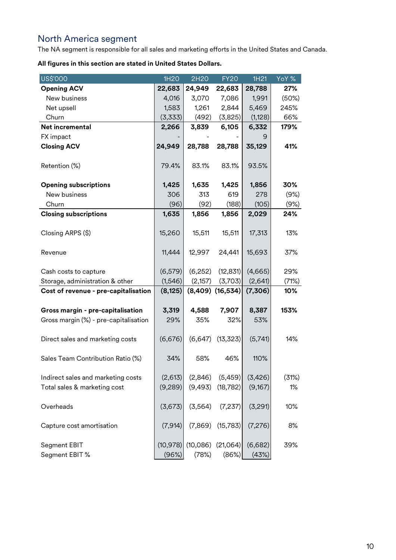# <span id="page-10-0"></span>North America segment

The NA segment is responsible for all sales and marketing efforts in the United States and Canada.

| US\$'000                              | 1H20               | 2H20              | <b>FY20</b>          | 1H21             | YoY % |
|---------------------------------------|--------------------|-------------------|----------------------|------------------|-------|
| <b>Opening ACV</b>                    | 22,683             | 24,949            | 22,683               | 28,788           | 27%   |
| New business                          | 4,016              | 3,070             | 7,086                | 1,991            | (50%) |
| Net upsell                            | 1,583              | 1,261             | 2,844                | 5,469            | 245%  |
| Churn                                 | (3,333)            | (492)             | (3,825)              | (1, 128)         | 66%   |
| Net incremental                       | 2,266              | 3,839             | 6,105                | 6,332            | 179%  |
| FX impact                             |                    |                   |                      | 9                |       |
| <b>Closing ACV</b>                    | 24,949             | 28,788            | 28,788               | 35,129           | 41%   |
| Retention (%)                         | 79.4%              | 83.1%             | 83.1%                | 93.5%            |       |
| <b>Opening subscriptions</b>          | 1,425              | 1,635             | 1,425                | 1,856            | 30%   |
| New business                          | 306                | 313               | 619                  | 278              | (9%)  |
| Churn                                 | (96)               | (92)              | (188)                | (105)            | (9%)  |
| <b>Closing subscriptions</b>          | 1,635              | 1,856             | 1,856                | 2,029            | 24%   |
| Closing ARPS (\$)                     | 15,260             | 15,511            | 15,511               | 17,313           | 13%   |
| Revenue                               | 11,444             | 12,997            | 24,441               | 15,693           | 37%   |
| Cash costs to capture                 | (6, 579)           | (6, 252)          | (12, 831)            | (4,665)          | 29%   |
| Storage, administration & other       | (1,546)            | (2,157)           | (3,703)              | (2,641)          | (71%) |
| Cost of revenue - pre-capitalisation  | (8, 125)           |                   | $(8,409)$ $(16,534)$ | (7,306)          | 10%   |
|                                       |                    |                   |                      |                  | 153%  |
| Gross margin - pre-capitalisation     | 3,319<br>29%       | 4,588<br>35%      | 7,907<br>32%         | 8,387<br>53%     |       |
| Gross margin (%) - pre-capitalisation |                    |                   |                      |                  |       |
| Direct sales and marketing costs      | (6,676)            | (6,647)           | (13, 323)            | (5,741)          | 14%   |
| Sales Team Contribution Ratio (%)     | 34%                | 58%               | 46%                  | 110%             |       |
| Indirect sales and marketing costs    | (2,613)            | (2,846)           | (5,459)              | (3,426)          | (31%) |
| Total sales & marketing cost          | (9,289)            | (9,493)           | (18, 782)            | (9,167)          | 1%    |
| Overheads                             | (3,673)            | (3, 564)          | (7,237)              | (3,291)          | 10%   |
| Capture cost amortisation             | (7, 914)           | (7,869)           | (15, 783)            | (7, 276)         | 8%    |
| Segment EBIT<br>Segment EBIT %        | (10, 978)<br>(96%) | (10,086)<br>(78%) | (21,064)<br>(86%)    | (6,682)<br>(43%) | 39%   |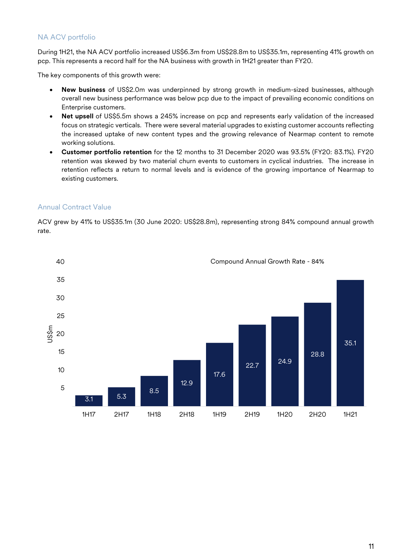#### NA ACV portfolio

During 1H21, the NA ACV portfolio increased US\$6.3m from US\$28.8m to US\$35.1m, representing 41% growth on pcp. This represents a record half for the NA business with growth in 1H21 greater than FY20.

The key components of this growth were:

- **New business** of US\$2.0m was underpinned by strong growth in medium-sized businesses, although overall new business performance was below pcp due to the impact of prevailing economic conditions on Enterprise customers.
- **Net upsell** of US\$5.5m shows a 245% increase on pcp and represents early validation of the increased focus on strategic verticals. There were several material upgrades to existing customer accounts reflecting the increased uptake of new content types and the growing relevance of Nearmap content to remote working solutions.
- **Customer portfolio retention** for the 12 months to 31 December 2020 was 93.5% (FY20: 83.1%). FY20 retention was skewed by two material churn events to customers in cyclical industries. The increase in retention reflects a return to normal levels and is evidence of the growing importance of Nearmap to existing customers.

#### Annual Contract Value

ACV grew by 41% to US\$35.1m (30 June 2020: US\$28.8m), representing strong 84% compound annual growth rate.



11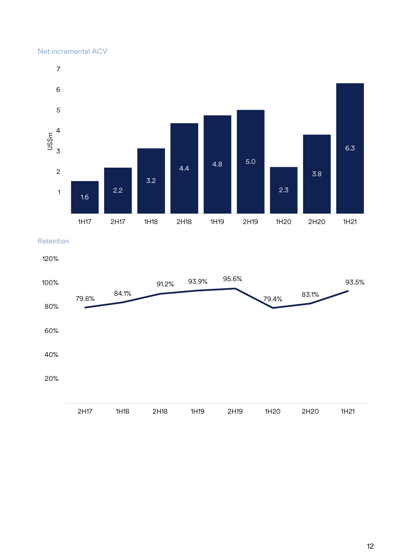#### Net incremental ACV



Retention

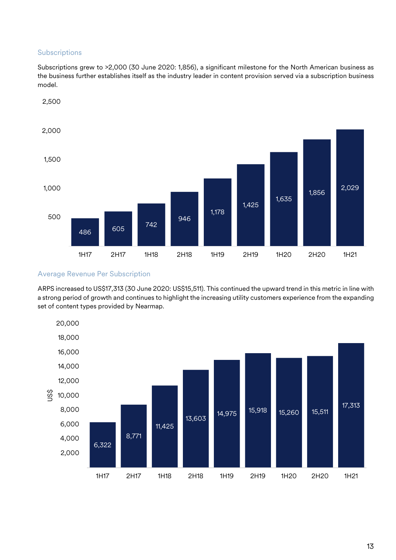#### Subscriptions

Subscriptions grew to >2,000 (30 June 2020: 1,856), a significant milestone for the North American business as the business further establishes itself as the industry leader in content provision served via a subscription business model.



#### Average Revenue Per Subscription

ARPS increased to US\$17,313 (30 June 2020: US\$15,511). This continued the upward trend in this metric in line with a strong period of growth and continues to highlight the increasing utility customers experience from the expanding set of content types provided by Nearmap.

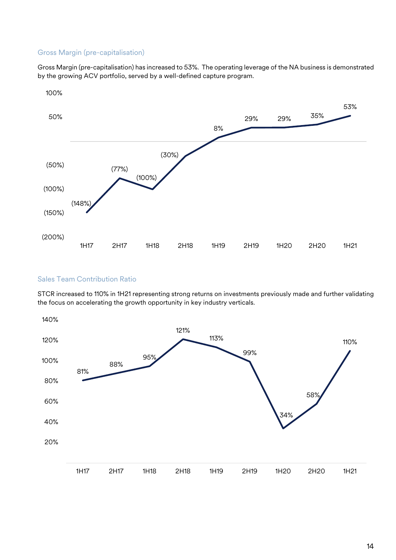#### Gross Margin (pre-capitalisation)

Gross Margin (pre-capitalisation) has increased to 53%. The operating leverage of the NA business is demonstrated by the growing ACV portfolio, served by a well-defined capture program.



#### Sales Team Contribution Ratio

STCR increased to 110% in 1H21 representing strong returns on investments previously made and further validating the focus on accelerating the growth opportunity in key industry verticals.

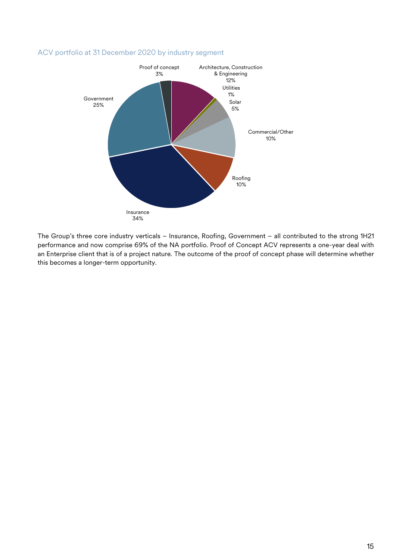#### ACV portfolio at 31 December 2020 by industry segment



The Group's three core industry verticals – Insurance, Roofing, Government – all contributed to the strong 1H21 performance and now comprise 69% of the NA portfolio. Proof of Concept ACV represents a one-year deal with an Enterprise client that is of a project nature. The outcome of the proof of concept phase will determine whether this becomes a longer-term opportunity.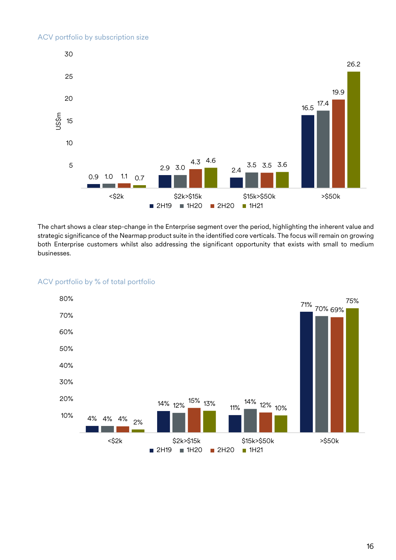

The chart shows a clear step-change in the Enterprise segment over the period, highlighting the inherent value and strategic significance of the Nearmap product suite in the identified core verticals. The focus will remain on growing both Enterprise customers whilst also addressing the significant opportunity that exists with small to medium businesses.



#### ACV portfolio by % of total portfolio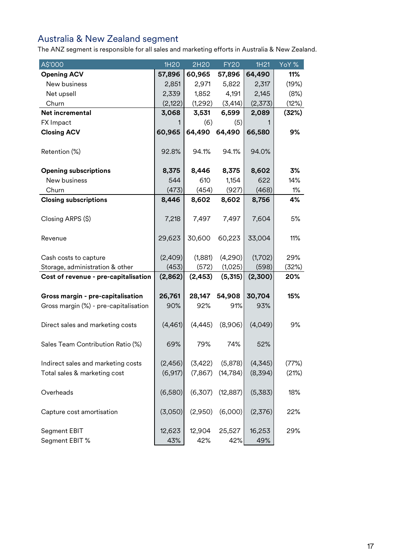# <span id="page-17-0"></span>Australia & New Zealand segment

The ANZ segment is responsible for all sales and marketing efforts in Australia & New Zealand.

| A\$'000                               | 1H20          | 2H <sub>20</sub> | <b>FY20</b>   | 1H <sub>21</sub> | YoY % |
|---------------------------------------|---------------|------------------|---------------|------------------|-------|
| <b>Opening ACV</b>                    | 57,896        | 60,965           | 57,896        | 64,490           | 11%   |
| New business                          | 2,851         | 2,971            | 5,822         | 2,317            | (19%) |
| Net upsell                            | 2,339         | 1,852            | 4,191         | 2,145            | (8%)  |
| Churn                                 | (2,122)       | (1,292)          | (3, 414)      | (2,373)          | (12%) |
| Net incremental                       | 3,068         | 3,531            | 6,599         | 2,089            | (32%) |
| FX Impact                             | 1             | (6)              | (5)           |                  |       |
| <b>Closing ACV</b>                    | 60,965        | 64,490           | 64,490        | 66,580           | 9%    |
| Retention (%)                         | 92.8%         | 94.1%            | 94.1%         | 94.0%            |       |
| <b>Opening subscriptions</b>          | 8,375         | 8,446            | 8,375         | 8,602            | 3%    |
| New business                          | 544           | 610              | 1,154         | 622              | 14%   |
| Churn                                 | (473)         | (454)            | (927)         | (468)            | 1%    |
| <b>Closing subscriptions</b>          | 8,446         | 8,602            | 8,602         | 8,756            | 4%    |
|                                       |               |                  |               |                  |       |
| Closing ARPS (\$)                     | 7,218         | 7,497            | 7,497         | 7,604            | 5%    |
| Revenue                               | 29,623        | 30,600           | 60,223        | 33,004           | 11%   |
| Cash costs to capture                 | (2,409)       | (1,881)          | (4,290)       | (1,702)          | 29%   |
| Storage, administration & other       | (453)         | (572)            | (1,025)       | (598)            | (32%) |
| Cost of revenue - pre-capitalisation  | (2,862)       | (2, 453)         | (5,315)       | (2,300)          | 20%   |
|                                       |               |                  |               |                  |       |
| Gross margin - pre-capitalisation     | 26,761        | 28,147           | 54,908        | 30,704           | 15%   |
| Gross margin (%) - pre-capitalisation | 90%           | 92%              | 91%           | 93%              |       |
| Direct sales and marketing costs      | (4,461)       | (4, 445)         | (8,906)       | (4,049)          | 9%    |
| Sales Team Contribution Ratio (%)     | 69%           | 79%              | 74%           | 52%              |       |
| Indirect sales and marketing costs    | (2,456)       | (3,422)          | (5,878)       | (4, 345)         | (77%) |
| Total sales & marketing cost          | (6, 917)      | (7, 867)         | (14, 784)     | (8,394)          | (21%) |
| Overheads                             | (6,580)       | (6,307)          | (12, 887)     | (5,383)          | 18%   |
| Capture cost amortisation             | (3,050)       | (2,950)          | (6,000)       | (2,376)          | 22%   |
| Segment EBIT<br>Segment EBIT %        | 12,623<br>43% | 12,904<br>42%    | 25,527<br>42% | 16,253<br>49%    | 29%   |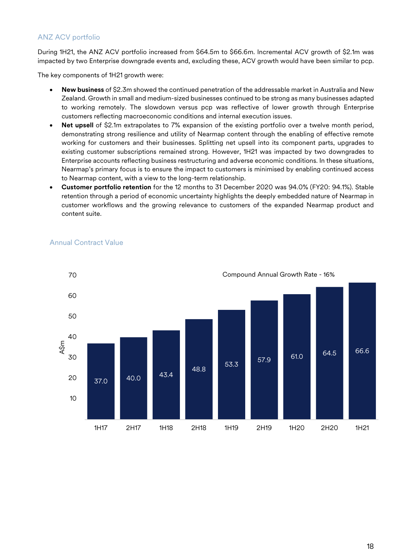#### ANZ ACV portfolio

During 1H21, the ANZ ACV portfolio increased from \$64.5m to \$66.6m. Incremental ACV growth of \$2.1m was impacted by two Enterprise downgrade events and, excluding these, ACV growth would have been similar to pcp.

The key components of 1H21 growth were:

- **New business** of \$2.3m showed the continued penetration of the addressable market in Australia and New Zealand. Growth in small and medium-sized businesses continued to be strong as many businesses adapted to working remotely. The slowdown versus pcp was reflective of lower growth through Enterprise customers reflecting macroeconomic conditions and internal execution issues.
- Net upsell of \$2.1m extrapolates to 7% expansion of the existing portfolio over a twelve month period, demonstrating strong resilience and utility of Nearmap content through the enabling of effective remote working for customers and their businesses. Splitting net upsell into its component parts, upgrades to existing customer subscriptions remained strong. However, 1H21 was impacted by two downgrades to Enterprise accounts reflecting business restructuring and adverse economic conditions. In these situations, Nearmap's primary focus is to ensure the impact to customers is minimised by enabling continued access to Nearmap content, with a view to the long-term relationship.
- **Customer portfolio retention** for the 12 months to 31 December 2020 was 94.0% (FY20: 94.1%). Stable retention through a period of economic uncertainty highlights the deeply embedded nature of Nearmap in customer workflows and the growing relevance to customers of the expanded Nearmap product and content suite.



#### Annual Contract Value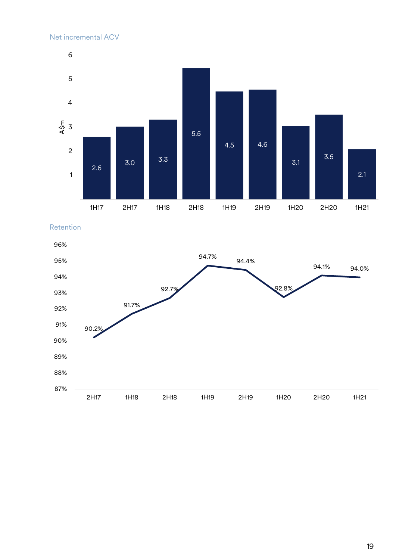

Retention

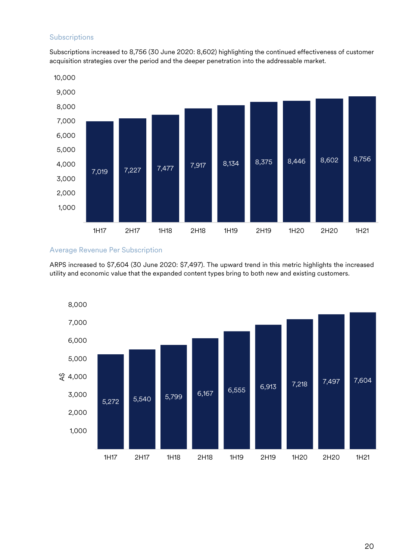#### **Subscriptions**

Subscriptions increased to 8,756 (30 June 2020: 8,602) highlighting the continued effectiveness of customer acquisition strategies over the period and the deeper penetration into the addressable market.



#### Average Revenue Per Subscription

ARPS increased to \$7,604 (30 June 2020: \$7,497). The upward trend in this metric highlights the increased utility and economic value that the expanded content types bring to both new and existing customers.

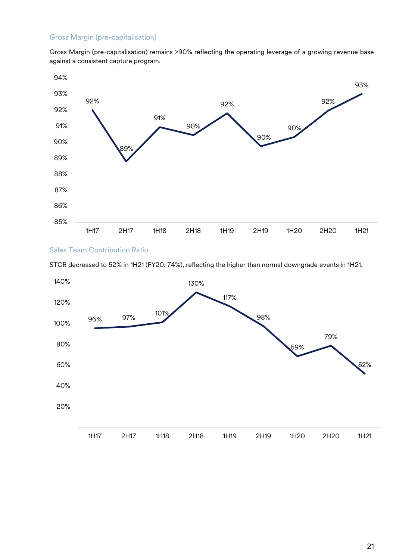#### Gross Margin (pre-capitalisation)

Gross Margin (pre-capitalisation) remains >90% reflecting the operating leverage of a growing revenue base against a consistent capture program.



#### Sales Team Contribution Ratio

STCR decreased to 52% in 1H21 (FY20: 74%), reflecting the higher than normal downgrade events in 1H21.

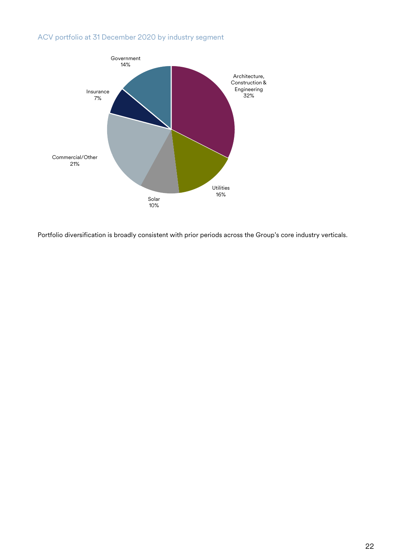## ACV portfolio at 31 December 2020 by industry segment



Portfolio diversification is broadly consistent with prior periods across the Group's core industry verticals.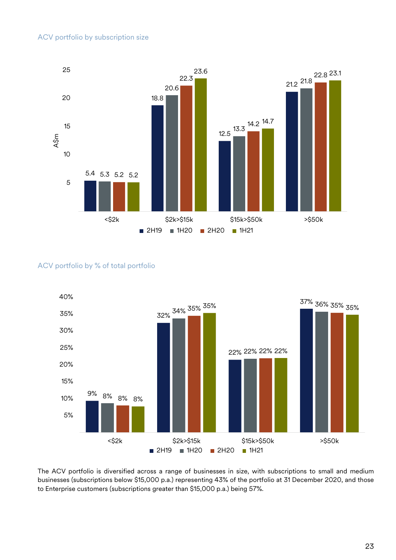

#### ACV portfolio by % of total portfolio



The ACV portfolio is diversified across a range of businesses in size, with subscriptions to small and medium businesses (subscriptions below \$15,000 p.a.) representing 43% of the portfolio at 31 December 2020, and those to Enterprise customers (subscriptions greater than \$15,000 p.a.) being 57%.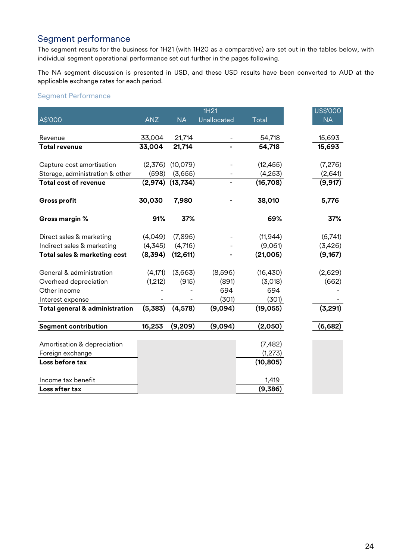# <span id="page-24-0"></span>Segment performance

The segment results for the business for 1H21 (with 1H20 as a comparative) are set out in the tables below, with individual segment operational performance set out further in the pages following.

The NA segment discussion is presented in USD, and these USD results have been converted to AUD at the applicable exchange rates for each period.

#### Segment Performance

|                                           |            |           | 1H21        |              | US\$'000  |
|-------------------------------------------|------------|-----------|-------------|--------------|-----------|
| A\$'000                                   | <b>ANZ</b> | <b>NA</b> | Unallocated | <b>Total</b> | <b>NA</b> |
|                                           |            |           |             |              |           |
| Revenue                                   | 33,004     | 21,714    |             | 54,718       | 15,693    |
| <b>Total revenue</b>                      | 33,004     | 21,714    |             | 54,718       | 15,693    |
|                                           |            |           |             |              |           |
| Capture cost amortisation                 | (2,376)    | (10,079)  |             | (12, 455)    | (7,276)   |
| Storage, administration & other           | (598)      | (3,655)   |             | (4,253)      | (2,641)   |
| <b>Total cost of revenue</b>              | (2, 974)   | (13, 734) |             | (16, 708)    | (9, 917)  |
| <b>Gross profit</b>                       | 30,030     | 7,980     |             | 38,010       | 5,776     |
| Gross margin %                            | 91%        | 37%       |             | 69%          | 37%       |
| Direct sales & marketing                  | (4,049)    | (7,895)   |             | (11, 944)    | (5,741)   |
| Indirect sales & marketing                | (4, 345)   | (4,716)   |             | (9,061)      | (3,426)   |
| Total sales & marketing cost              | (8,394)    | (12, 611) |             | (21,005)     | (9,167)   |
| General & administration                  | (4, 171)   | (3,663)   | (8,596)     | (16, 430)    | (2,629)   |
| Overhead depreciation                     | (1,212)    | (915)     | (891)       | (3,018)      | (662)     |
| Other income                              |            |           | 694         | 694          |           |
| Interest expense                          |            |           | (301)       | (301)        |           |
| <b>Total general &amp; administration</b> | (5,383)    | (4, 578)  | (9,094)     | (19, 055)    | (3,291)   |
| <b>Segment contribution</b>               | 16,253     | (9,209)   | (9,094)     | (2,050)      | (6,682)   |
|                                           |            |           |             |              |           |
| Amortisation & depreciation               |            |           |             | (7, 482)     |           |
| Foreign exchange                          |            |           |             | (1,273)      |           |
| Loss before tax                           |            |           |             | (10, 805)    |           |
| Income tax benefit                        |            |           |             | 1,419        |           |
| Loss after tax                            |            |           |             | (9,386)      |           |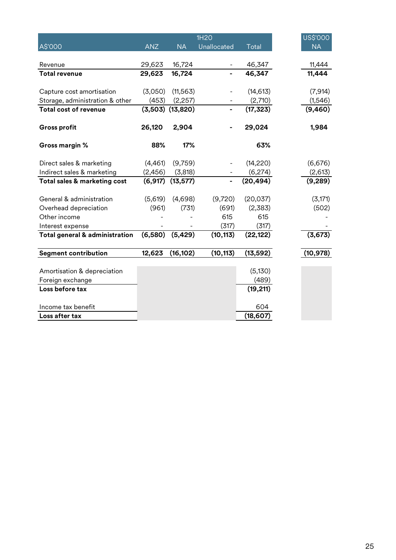|                                           |            |           | 1H20        |                  | US\$'000  |
|-------------------------------------------|------------|-----------|-------------|------------------|-----------|
| A\$'000                                   | <b>ANZ</b> | <b>NA</b> | Unallocated | <b>Total</b>     | <b>NA</b> |
|                                           |            |           |             |                  |           |
| Revenue                                   | 29,623     | 16,724    |             | 46,347           | 11,444    |
| <b>Total revenue</b>                      | 29,623     | 16,724    |             | 46,347           | 11,444    |
|                                           |            |           |             |                  |           |
| Capture cost amortisation                 | (3,050)    | (11, 563) |             | (14, 613)        | (7, 914)  |
| Storage, administration & other           | (453)      | (2, 257)  |             | (2,710)          | (1,546)   |
| <b>Total cost of revenue</b>              | (3,503)    | (13, 820) |             | (17, 323)        | (9,460)   |
| <b>Gross profit</b>                       | 26,120     | 2,904     |             | 29,024           | 1,984     |
| Gross margin %                            | 88%        | 17%       |             | 63%              |           |
| Direct sales & marketing                  | (4,461)    | (9,759)   |             | (14, 220)        | (6,676)   |
| Indirect sales & marketing                | (2,456)    | (3,818)   |             | (6,274)          | (2,613)   |
| Total sales & marketing cost              | (6, 917)   | (13, 577) |             | (20, 494)        | (9, 289)  |
|                                           |            |           |             |                  |           |
| General & administration                  | (5,619)    | (4,698)   | (9,720)     | (20, 037)        | (3, 171)  |
| Overhead depreciation                     | (961)      | (731)     | (691)       | (2,383)          | (502)     |
| Other income                              |            |           | 615         | 615              |           |
| Interest expense                          |            |           | (317)       | (317)            |           |
| <b>Total general &amp; administration</b> | (6,580)    | (5, 429)  | (10, 113)   | (22, 122)        | (3,673)   |
| <b>Segment contribution</b>               | 12,623     | (16, 102) | (10, 113)   | (13, 592)        | (10, 978) |
|                                           |            |           |             |                  |           |
| Amortisation & depreciation               |            |           |             | (5, 130)         |           |
| Foreign exchange                          |            |           |             | (489)            |           |
| Loss before tax                           |            |           |             | (19, 211)        |           |
|                                           |            |           |             |                  |           |
| Income tax benefit<br>Loss after tax      |            |           |             | 604<br>(18, 607) |           |
|                                           |            |           |             |                  |           |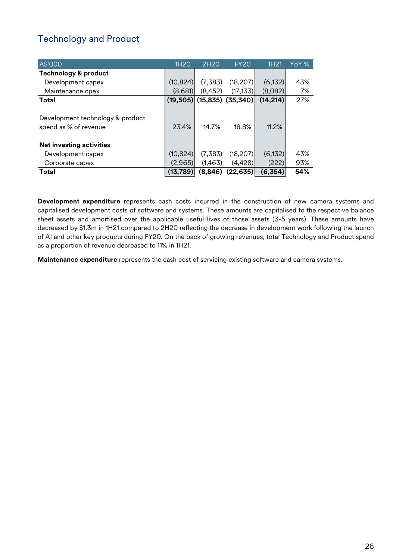# <span id="page-26-0"></span>Technology and Product

| A\$'000                                                   | 1H <sub>20</sub> | 2H <sub>20</sub>             | <b>FY20</b> | 1H <sub>21</sub> | YoY % |
|-----------------------------------------------------------|------------------|------------------------------|-------------|------------------|-------|
| <b>Technology &amp; product</b>                           |                  |                              |             |                  |       |
| Development capex                                         | (10, 824)        | (7,383)                      | (18, 207)   | (6, 132)         | 43%   |
| Maintenance opex                                          | (8,681)          | (8,452)                      | (17, 133)   | (8,082)          | 7%    |
| Total                                                     |                  | $(19,505)$ (15,835) (35,340) |             | (14, 214)        | 27%   |
| Development technology & product<br>spend as % of revenue | 23.4%            | 14.7%                        | 18.8%       | 11.2%            |       |
| <b>Net investing activities</b>                           |                  |                              |             |                  |       |
| Development capex                                         | (10, 824)        | (7,383)                      | (18, 207)   | (6, 132)         | 43%   |
| Corporate capex                                           | (2,965)          | (1,463)                      | (4, 428)    | (222)            | 93%   |
| Total                                                     | (13,789)         | (8, 846)                     | (22, 635)   | (6,354)          | 54%   |

**Development expenditure** represents cash costs incurred in the construction of new camera systems and capitalised development costs of software and systems. These amounts are capitalised to the respective balance sheet assets and amortised over the applicable useful lives of those assets (3-5 years). These amounts have decreased by \$1.3m in 1H21 compared to 2H20 reflecting the decrease in development work following the launch of AI and other key products during FY20. On the back of growing revenues, total Technology and Product spend as a proportion of revenue decreased to 11% in 1H21.

**Maintenance expenditure** represents the cash cost of servicing existing software and camera systems.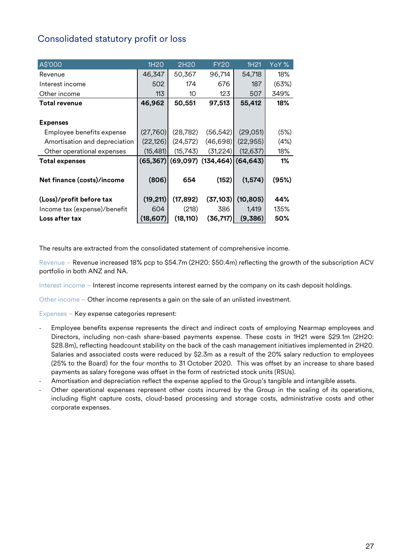## <span id="page-27-0"></span>Consolidated statutory profit or loss

| A\$'000                       | 1H <sub>20</sub> | 2H20      | <b>FY20</b>            | 1H21      | YoY % |
|-------------------------------|------------------|-----------|------------------------|-----------|-------|
| Revenue                       | 46,347           | 50,367    | 96,714                 | 54,718    | 18%   |
| Interest income               | 502              | 174       | 676                    | 187       | (63%) |
| Other income                  | 113              | 10        | 123                    | 507       | 349%  |
| <b>Total revenue</b>          | 46,962           | 50,551    | 97,513                 | 55,412    | 18%   |
|                               |                  |           |                        |           |       |
| <b>Expenses</b>               |                  |           |                        |           |       |
| Employee benefits expense     | (27,760)         | (28, 782) | (56, 542)              | (29,051)  | (5%)  |
| Amortisation and depreciation | (22, 126)        | (24, 572) | (46, 698)              | (22, 955) | (4%)  |
| Other operational expenses    | (15, 481)        | (15, 743) | (31, 224)              | (12, 637) | 18%   |
| <b>Total expenses</b>         | (65, 367)        |           | $(69,097)$ $(134,464)$ | (64, 643) | $1\%$ |
|                               |                  |           |                        |           |       |
| Net finance (costs)/income    | (806)            | 654       | (152)                  | (1, 574)  | (95%) |
|                               |                  |           |                        |           |       |
| (Loss)/profit before tax      | (19, 211)        | (17, 892) | (37, 103)              | (10, 805) | 44%   |
| Income tax (expense)/benefit  | 604              | (218)     | 386                    | 1,419     | 135%  |
| Loss after tax                | (18, 607)        | (18, 110) | (36, 717)              | (9,386)   | 50%   |

The results are extracted from the consolidated statement of comprehensive income.

Revenue – Revenue increased 18% pcp to \$54.7m (2H20: \$50.4m) reflecting the growth of the subscription ACV portfolio in both ANZ and NA.

Interest income – Interest income represents interest earned by the company on its cash deposit holdings.

Other income – Other income represents a gain on the sale of an unlisted investment.

Expenses – Key expense categories represent:

- Employee benefits expense represents the direct and indirect costs of employing Nearmap employees and Directors, including non-cash share-based payments expense. These costs in 1H21 were \$29.1m (2H20: \$28.8m), reflecting headcount stability on the back of the cash management initiatives implemented in 2H20. Salaries and associated costs were reduced by \$2.3m as a result of the 20% salary reduction to employees (25% to the Board) for the four months to 31 October 2020. This was offset by an increase to share based payments as salary foregone was offset in the form of restricted stock units (RSUs).
- Amortisation and depreciation reflect the expense applied to the Group's tangible and intangible assets.
- Other operational expenses represent other costs incurred by the Group in the scaling of its operations, including flight capture costs, cloud-based processing and storage costs, administrative costs and other corporate expenses.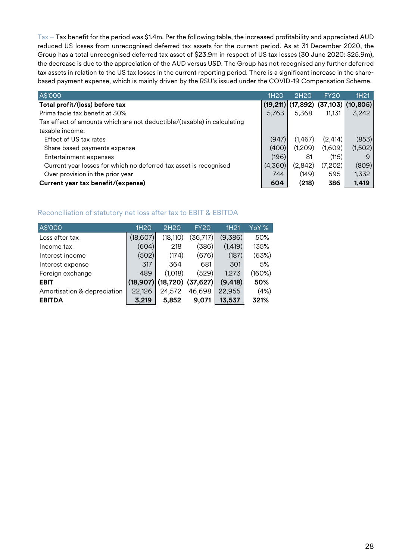Tax – Tax benefit for the period was \$1.4m. Per the following table, the increased profitability and appreciated AUD reduced US losses from unrecognised deferred tax assets for the current period. As at 31 December 2020, the Group has a total unrecognised deferred tax asset of \$23.9m in respect of US tax losses (30 June 2020: \$25.9m), the decrease is due to the appreciation of the AUD versus USD. The Group has not recognised any further deferred tax assets in relation to the US tax losses in the current reporting period. There is a significant increase in the sharebased payment expense, which is mainly driven by the RSU's issued under the COVID-19 Compensation Scheme.

| A\$'000                                                                 | 1H <sub>20</sub> | 2H <sub>20</sub> | <b>FY20</b> | 1H <sub>21</sub>                        |
|-------------------------------------------------------------------------|------------------|------------------|-------------|-----------------------------------------|
| Total profit/(loss) before tax                                          |                  |                  |             | $(19,211)$ (17,892) $(37,103)$ (10,805) |
| Prima facie tax benefit at 30%                                          | 5,763            | 5,368            | 11,131      | 3,242                                   |
| Tax effect of amounts which are not deductible/(taxable) in calculating |                  |                  |             |                                         |
| taxable income:                                                         |                  |                  |             |                                         |
| Effect of US tax rates                                                  | (947)            | (1,467)          | (2, 414)    | (853)                                   |
| Share based payments expense                                            | (400)            | (1,209)          | (1,609)     | (1,502)                                 |
| Entertainment expenses                                                  | (196)            | 81               | (115)       | 9                                       |
| Current year losses for which no deferred tax asset is recognised       | (4,360)          | (2,842)          | (7,202)     | (809)                                   |
| Over provision in the prior year                                        | 744              | (149)            | 595         | 1,332                                   |
| Current year tax benefit/(expense)                                      | 604              | (218)            | 386         | 1,419                                   |

#### Reconciliation of statutory net loss after tax to EBIT & EBITDA

| 1H <sub>20</sub> | 2H20      | <b>FY20</b> | 1H21                  | YoY %' |
|------------------|-----------|-------------|-----------------------|--------|
| (18, 607)        | (18, 110) | (36, 717)   | (9,386)               | 50%    |
| (604)            | 218       | (386)       | (1, 419)              | 135%   |
| (502)            | (174)     | (676)       | (187)                 | (63%)  |
| 317              | 364       | 681         | 301                   | 5%     |
| 489              | (1,018)   | (529)       | 1,273                 | (160%) |
| (18, 907)        |           |             | (9, 418)              | 50%    |
| 22,126           | 24,572    | 46,698      | 22,955                | (4%)   |
| 3,219            | 5,852     | 9.071       | 13.537                | 321%   |
|                  |           |             | $(18,720)$ $(37,627)$ |        |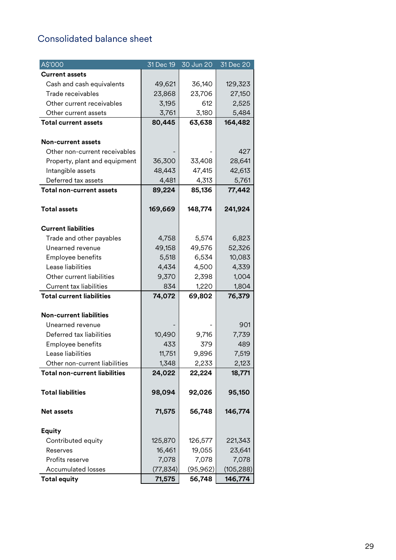# <span id="page-29-0"></span>Consolidated balance sheet

| A\$'000                              | 31 Dec 19 | 30 Jun 20 | 31 Dec 20 |
|--------------------------------------|-----------|-----------|-----------|
| <b>Current assets</b>                |           |           |           |
| Cash and cash equivalents            | 49,621    | 36,140    | 129,323   |
| Trade receivables                    | 23,868    | 23,706    | 27,150    |
| Other current receivables            | 3,195     | 612       | 2,525     |
| Other current assets                 | 3,761     | 3,180     | 5,484     |
| <b>Total current assets</b>          | 80,445    | 63,638    | 164,482   |
| <b>Non-current assets</b>            |           |           |           |
| Other non-current receivables        |           |           | 427       |
| Property, plant and equipment        | 36,300    | 33,408    | 28,641    |
| Intangible assets                    | 48,443    | 47,415    | 42,613    |
| Deferred tax assets                  | 4,481     | 4,313     | 5,761     |
| <b>Total non-current assets</b>      | 89,224    | 85,136    | 77,442    |
| <b>Total assets</b>                  | 169,669   | 148,774   | 241,924   |
| <b>Current liabilities</b>           |           |           |           |
| Trade and other payables             | 4,758     | 5,574     | 6,823     |
| Unearned revenue                     | 49,158    | 49,576    | 52,326    |
| Employee benefits                    | 5,518     | 6,534     | 10,083    |
| Lease liabilities                    | 4,434     | 4,500     | 4,339     |
| Other current liabilities            | 9,370     | 2,398     | 1,004     |
| <b>Current tax liabilities</b>       | 834       | 1,220     | 1,804     |
| <b>Total current liabilities</b>     | 74,072    | 69,802    | 76,379    |
| <b>Non-current liabilities</b>       |           |           |           |
| Unearned revenue                     |           |           | 901       |
| Deferred tax liabilities             | 10,490    | 9,716     | 7,739     |
| Employee benefits                    | 433       | 379       | 489       |
| Lease liabilities                    | 11,751    | 9,896     | 7,519     |
| Other non-current liabilities        | 1,348     | 2,233     | 2,123     |
| <b>Total non-current liabilities</b> | 24,022    | 22,224    | 18,771    |
| <b>Total liabilities</b>             | 98,094    | 92,026    | 95,150    |
| <b>Net assets</b>                    | 71,575    | 56,748    | 146,774   |
| <b>Equity</b>                        |           |           |           |
| Contributed equity                   | 125,870   | 126,577   | 221,343   |
| Reserves                             | 16,461    | 19,055    | 23,641    |
| Profits reserve                      | 7,078     | 7,078     | 7,078     |
| <b>Accumulated losses</b>            | (77, 834) | (95, 962) | (105,288) |
| <b>Total equity</b>                  | 71,575    | 56,748    | 146,774   |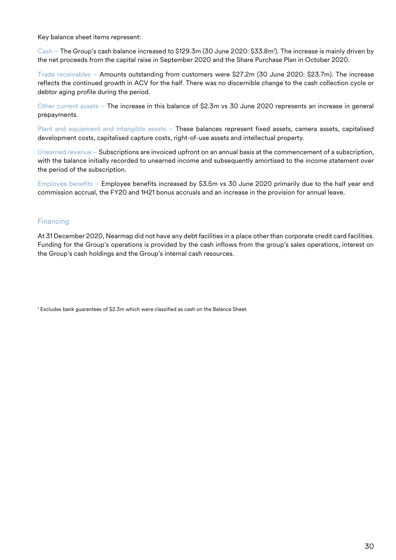Key balance sheet items represent:

Cash – The Group's cash balance increased to \$129.3m (30 June 2020: \$33.8m1 ). The increase is mainly driven by the net proceeds from the capital raise in September 2020 and the Share Purchase Plan in October 2020.

Trade receivables – Amounts outstanding from customers were \$27.2m (30 June 2020: \$23.7m). The increase reflects the continued growth in ACV for the half. There was no discernible change to the cash collection cycle or debtor aging profile during the period.

Other current assets – The increase in this balance of \$2.3m vs 30 June 2020 represents an increase in general prepayments.

Plant and equipment and intangible assets – These balances represent fixed assets, camera assets, capitalised development costs, capitalised capture costs, right-of-use assets and intellectual property.

Unearned revenue – Subscriptions are invoiced upfront on an annual basis at the commencement of a subscription, with the balance initially recorded to unearned income and subsequently amortised to the income statement over the period of the subscription.

Employee benefits – Employee benefits increased by \$3.5m vs 30 June 2020 primarily due to the half year end commission accrual, the FY20 and 1H21 bonus accruals and an increase in the provision for annual leave.

#### Financing

At 31 December 2020, Nearmap did not have any debt facilities in a place other than corporate credit card facilities. Funding for the Group's operations is provided by the cash inflows from the group's sales operations, interest on the Group's cash holdings and the Group's internal cash resources.

<sup>1</sup> Excludes bank guarantees of \$2.3m which were classified as cash on the Balance Sheet.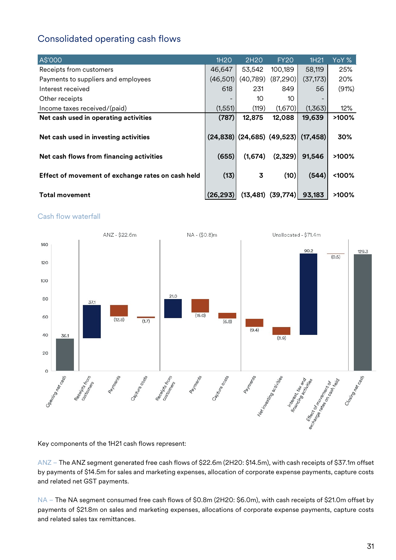# <span id="page-31-0"></span>Consolidated operating cash flows

| A\$'000                                           | 1H <sub>20</sub> | 2H <sub>20</sub>             | <b>FY20</b> | 1H <sub>21</sub> | YoY %    |
|---------------------------------------------------|------------------|------------------------------|-------------|------------------|----------|
| Receipts from customers                           | 46,647           | 53,542                       | 100,189     | 58,119           | 25%      |
| Payments to suppliers and employees               | (46,501)         | (40, 789)                    | (87,290)    | (37, 173)        | 20%      |
| Interest received                                 | 618              | 231                          | 849         | 56               | (91%)    |
| Other receipts                                    |                  | 10                           | 10          |                  |          |
| Income taxes received/(paid)                      | (1,551)          | (119)                        | (1,670)     | (1,363)          | 12%      |
| Net cash used in operating activities             | (787)            | 12,875                       | 12,088      | 19,639           | $>100\%$ |
| Net cash used in investing activities             |                  | $(24,838)$ (24,685) (49,523) |             | (17, 458)        | 30%      |
| Net cash flows from financing activities          | (655)            | (1,674)                      | (2,329)     | 91,546           | >100%    |
| Effect of movement of exchange rates on cash held | (13)             | 3                            | (10)        | (544)            | <100%    |
| <b>Total movement</b>                             | (26, 293)        | (13, 481)                    | (39, 774)   | 93,183           | $>100\%$ |

#### Cash flow waterfall



Key components of the 1H21 cash flows represent:

ANZ – The ANZ segment generated free cash flows of \$22.6m (2H20: \$14.5m), with cash receipts of \$37.1m offset by payments of \$14.5m for sales and marketing expenses, allocation of corporate expense payments, capture costs and related net GST payments.

NA – The NA segment consumed free cash flows of \$0.8m (2H20: \$6.0m), with cash receipts of \$21.0m offset by payments of \$21.8m on sales and marketing expenses, allocations of corporate expense payments, capture costs and related sales tax remittances.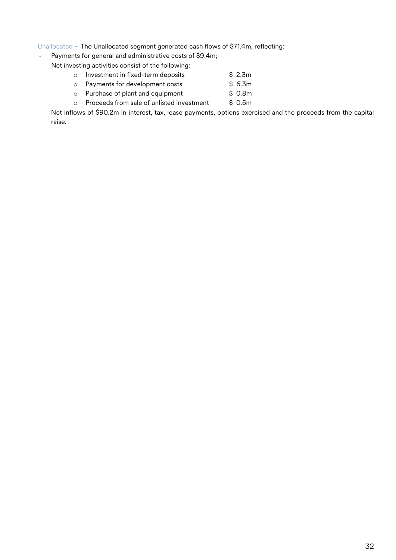#### Unallocated – The Unallocated segment generated cash flows of \$71.4m, reflecting:

- Payments for general and administrative costs of \$9.4m;
- Net investing activities consist of the following:
	- o Investment in fixed-term deposits  $\frac{1}{2}$  \$ 2.3m<br>
	o Payments for development costs \$ 6.3m
	- o Payments for development costs  $\frac{1}{2}$  \$ 6.3m<br>
	o Purchase of plant and equipment \$ 0.8m
	- $\circ$  Purchase of plant and equipment
	- o Proceeds from sale of unlisted investment  $\qquad$  \$ 0.5m
- Net inflows of \$90.2m in interest, tax, lease payments, options exercised and the proceeds from the capital raise.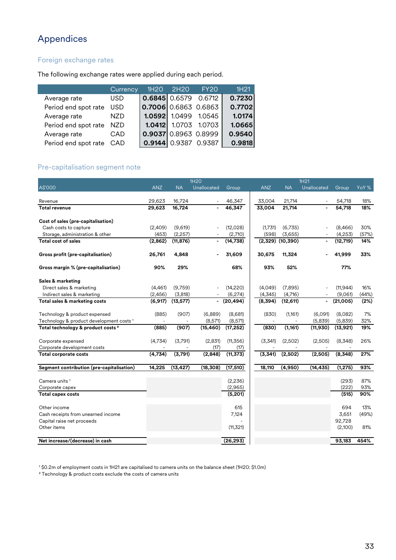# <span id="page-33-0"></span>Appendices

### Foreign exchange rates

The following exchange rates were applied during each period.

|                      | Currency   |                        | 1H20 2H20              | FY20          | 1H <sub>21</sub> |
|----------------------|------------|------------------------|------------------------|---------------|------------------|
| Average rate         | <b>USD</b> | $0.6845$ 0.6579        |                        | 0.6712        | 0.7230           |
| Period end spot rate | <b>USD</b> | $0.7006$ 0.6863 0.6863 |                        |               | 0.7702           |
| Average rate         | <b>NZD</b> |                        | 1.0592 1.0499          | 1.0545        | 1.0174           |
| Period end spot rate | <b>NZD</b> | 1.0412                 |                        | 1.0703 1.0703 | 1.0665           |
| Average rate         | CAD        |                        | $0.9037$ 0.8963 0.8999 |               | 0.9540           |
| Period end spot rate | CAD        |                        | $0.9144$ 0.9387        | 0.9387        | 0.9818           |

#### Pre-capitalisation segment note

|                                                     | 1H20       |           |                | 1H21           |            |           |                          |           |       |
|-----------------------------------------------------|------------|-----------|----------------|----------------|------------|-----------|--------------------------|-----------|-------|
| A\$'000                                             | <b>ANZ</b> | <b>NA</b> | Unallocated    | Group          | <b>ANZ</b> | <b>NA</b> | Unallocated              | Group     | YoY % |
|                                                     |            |           |                |                |            |           |                          |           |       |
| Revenue                                             | 29,623     | 16,724    |                | 46,347         | 33,004     | 21.714    | $\overline{\phantom{a}}$ | 54,718    | 18%   |
| <b>Total revenue</b>                                | 29,623     | 16,724    |                | 46,347         | 33,004     | 21,714    |                          | 54,718    | 18%   |
| Cost of sales (pre-capitalisation)                  |            |           |                |                |            |           |                          |           |       |
| Cash costs to capture                               | (2,409)    | (9,619)   |                | (12,028)       | (1,731)    | (6,735)   |                          | (8,466)   | 30%   |
| Storage, administration & other                     | (453)      | (2, 257)  |                | (2,710)        | (598)      | (3,655)   |                          | (4,253)   | (57%) |
| Total cost of sales                                 | (2,862)    | (11, 876) | $\blacksquare$ | (14, 738)      | (2,329)    | (10, 390) |                          | (12, 719) | 14%   |
| Gross profit (pre-capitalisation)                   | 26,761     | 4,848     |                | 31,609         | 30,675     | 11,324    |                          | 41,999    | 33%   |
| Gross margin % (pre-capitalisation)                 | 90%        | 29%       |                | 68%            | 93%        | 52%       |                          | 77%       |       |
| Sales & marketing                                   |            |           |                |                |            |           |                          |           |       |
| Direct sales & marketing                            | (4,461)    | (9,759)   |                | (14, 220)      | (4,049)    | (7,895)   |                          | (11, 944) | 16%   |
| Indirect sales & marketing                          | (2,456)    | (3,818)   |                | (6,274)        | (4,345)    | (4,716)   |                          | (9,061)   | (44%) |
| Total sales & marketing costs                       | (6, 917)   | (13, 577) | $\blacksquare$ | (20, 494)      | (8,394)    | (12, 611) | $\blacksquare$           | (21,005)  | (2%)  |
| Technology & product expensed                       | (885)      | (907)     | (6,889)        | (8,681)        | (830)      | (1, 161)  | (6,091)                  | (8,082)   | 7%    |
| Technology & product development costs <sup>1</sup> |            |           | (8,571)        | (8,571)        |            |           | (5,839)                  | (5,839)   | 32%   |
| Total technology & product costs <sup>2</sup>       | (885)      | (907)     | (15, 460)      | (17, 252)      | (830)      | (1, 161)  | (11, 930)                | (13, 921) | 19%   |
| Corporate expensed                                  | (4,734)    | (3,791)   | (2,831)        | (11, 356)      | (3,341)    | (2,502)   | (2,505)                  | (8,348)   | 26%   |
| Corporate development costs                         |            |           | (17)           | (17)           |            |           |                          |           |       |
| <b>Total corporate costs</b>                        | (4,734)    | (3,791)   | (2,848)        | (11, 373)      | (3, 341)   | (2,502)   | (2,505)                  | (8,348)   | 27%   |
| Segment contribution (pre-capitalisation)           | 14,225     | (13, 427) | (18,308)       | (17, 510)      | 18,110     | (4,950)   | (14, 435)                | (1, 275)  | 93%   |
| Camera units <sup>1</sup>                           |            |           |                | (2,236)        |            |           |                          | (293)     | 87%   |
| Corporate capex                                     |            |           |                | (2,965)        |            |           |                          | (222)     | 93%   |
| <b>Total capex costs</b>                            |            |           |                | (5,201)        |            |           |                          | (515)     | 90%   |
| Other income                                        |            |           |                | 615            |            |           |                          | 694       | 13%   |
| Cash receipts from unearned income                  |            |           |                | 7,124          |            |           |                          | 3,651     | (49%) |
| Capital raise net proceeds                          |            |           |                | $\overline{a}$ |            |           |                          | 92,728    |       |
| Other items                                         |            |           |                | (11, 321)      |            |           |                          | (2,100)   | 81%   |
| Net increase/(decrease) in cash                     |            |           |                | (26, 293)      |            |           |                          | 93,183    | 454%  |

<sup>1</sup> \$0.2m of employment costs in 1H21 are capitalised to camera units on the balance sheet (1H20: \$1.0m)

² Technology & product costs exclude the costs of camera units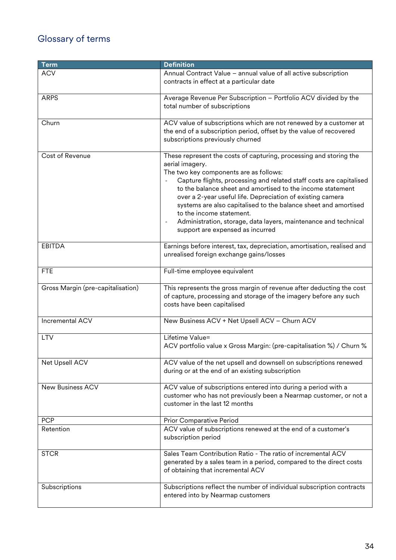# <span id="page-34-0"></span>Glossary of terms

| <b>Term</b>                       | <b>Definition</b>                                                                                                                                                                                                                                                                                                                                                                                                                                                                                                                                                    |
|-----------------------------------|----------------------------------------------------------------------------------------------------------------------------------------------------------------------------------------------------------------------------------------------------------------------------------------------------------------------------------------------------------------------------------------------------------------------------------------------------------------------------------------------------------------------------------------------------------------------|
| <b>ACV</b>                        | Annual Contract Value - annual value of all active subscription<br>contracts in effect at a particular date                                                                                                                                                                                                                                                                                                                                                                                                                                                          |
| <b>ARPS</b>                       | Average Revenue Per Subscription - Portfolio ACV divided by the<br>total number of subscriptions                                                                                                                                                                                                                                                                                                                                                                                                                                                                     |
| Churn                             | ACV value of subscriptions which are not renewed by a customer at<br>the end of a subscription period, offset by the value of recovered<br>subscriptions previously churned                                                                                                                                                                                                                                                                                                                                                                                          |
| Cost of Revenue                   | These represent the costs of capturing, processing and storing the<br>aerial imagery.<br>The two key components are as follows:<br>Capture flights, processing and related staff costs are capitalised<br>to the balance sheet and amortised to the income statement<br>over a 2-year useful life. Depreciation of existing camera<br>systems are also capitalised to the balance sheet and amortised<br>to the income statement.<br>Administration, storage, data layers, maintenance and technical<br>$\overline{\phantom{a}}$<br>support are expensed as incurred |
| <b>EBITDA</b>                     | Earnings before interest, tax, depreciation, amortisation, realised and<br>unrealised foreign exchange gains/losses                                                                                                                                                                                                                                                                                                                                                                                                                                                  |
| <b>FTE</b>                        | Full-time employee equivalent                                                                                                                                                                                                                                                                                                                                                                                                                                                                                                                                        |
| Gross Margin (pre-capitalisation) | This represents the gross margin of revenue after deducting the cost<br>of capture, processing and storage of the imagery before any such<br>costs have been capitalised                                                                                                                                                                                                                                                                                                                                                                                             |
| Incremental ACV                   | New Business ACV + Net Upsell ACV - Churn ACV                                                                                                                                                                                                                                                                                                                                                                                                                                                                                                                        |
| <b>LTV</b>                        | Lifetime Value=<br>ACV portfolio value x Gross Margin: (pre-capitalisation %) / Churn %                                                                                                                                                                                                                                                                                                                                                                                                                                                                              |
| Net Upsell ACV                    | ACV value of the net upsell and downsell on subscriptions renewed<br>during or at the end of an existing subscription                                                                                                                                                                                                                                                                                                                                                                                                                                                |
| <b>New Business ACV</b>           | ACV value of subscriptions entered into during a period with a<br>customer who has not previously been a Nearmap customer, or not a<br>customer in the last 12 months                                                                                                                                                                                                                                                                                                                                                                                                |
| <b>PCP</b>                        | Prior Comparative Period                                                                                                                                                                                                                                                                                                                                                                                                                                                                                                                                             |
| Retention                         | ACV value of subscriptions renewed at the end of a customer's<br>subscription period                                                                                                                                                                                                                                                                                                                                                                                                                                                                                 |
| <b>STCR</b>                       | Sales Team Contribution Ratio - The ratio of incremental ACV<br>generated by a sales team in a period, compared to the direct costs<br>of obtaining that incremental ACV                                                                                                                                                                                                                                                                                                                                                                                             |
| Subscriptions                     | Subscriptions reflect the number of individual subscription contracts<br>entered into by Nearmap customers                                                                                                                                                                                                                                                                                                                                                                                                                                                           |